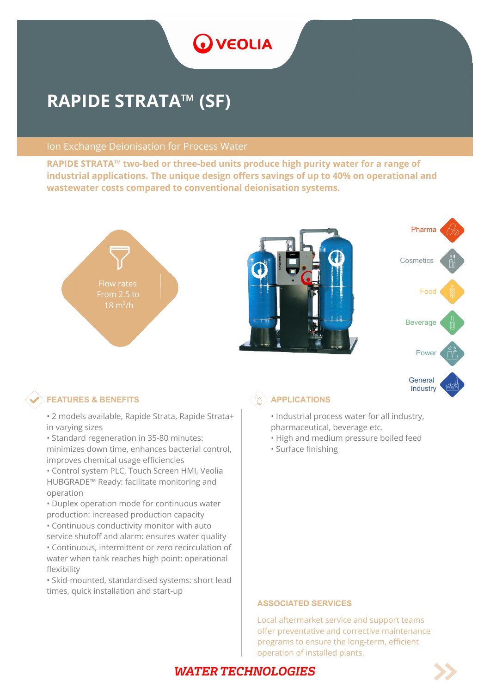

# **RAPIDE STRATA™ (SF)**

#### Ion Exchange Deionisation for Process Water

**RAPIDE STRATA™ two-bed or three-bed units produce high purity water for a range of industrial applications. The unique design offers savings of up to 40% on operational and wastewater costs compared to conventional deionisation systems.**







# $\otimes$  **FEATURES & BENEFITS**  $\otimes$   $\otimes$  **APPLICATIONS**

- 2 models available, Rapide Strata, Rapide Strata+ in varying sizes
- Standard regeneration in 35-80 minutes: minimizes down time, enhances bacterial control, improves chemical usage efficiencies
- Control system PLC, Touch Screen HMI, Veolia HUBGRADE™ Ready: facilitate monitoring and operation
- Duplex operation mode for continuous water production: increased production capacity
- Continuous conductivity monitor with auto service shutoff and alarm: ensures water quality
- Continuous, intermittent or zero recirculation of water when tank reaches high point: operational flexibility
- Skid-mounted, standardised systems: short lead times, quick installation and start-up

- Industrial process water for all industry, pharmaceutical, beverage etc.
- High and medium pressure boiled feed
- Surface finishing

#### **ASSOCIATED SERVICES**

Local aftermarket service and support teams offer preventative and corrective maintenance programs to ensure the long-term, efficient operation of installed plants.

# **WATER TECHNOLOGIES**

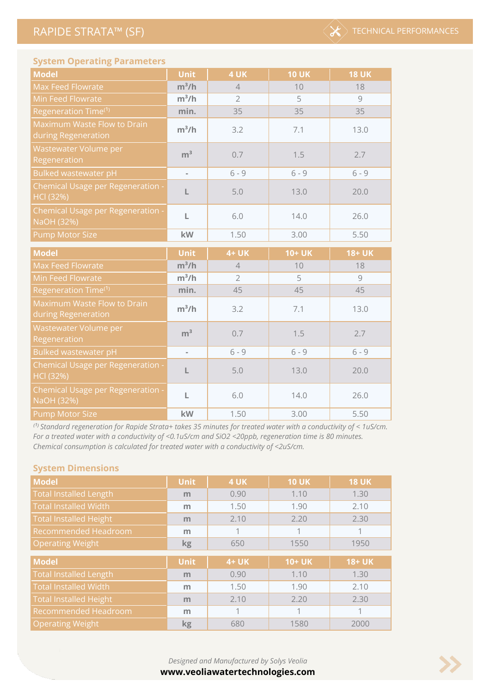

### **System Operating Parameters**

| <b>Model</b>                                           | <b>Unit</b>              | 4 UK           | <b>10 UK</b>  | <b>18 UK</b>  |
|--------------------------------------------------------|--------------------------|----------------|---------------|---------------|
| Max Feed Flowrate                                      | $m^3/h$                  | $\overline{4}$ | 10            | 18            |
| Min Feed Flowrate                                      | $m^3/h$                  | $\overline{2}$ | 5             | 9             |
| Regeneration Time <sup>(1)</sup>                       | min.                     | 35             | 35            | 35            |
| Maximum Waste Flow to Drain<br>during Regeneration     | $m^3/h$                  | 3.2            | 7.1           | 13.0          |
| Wastewater Volume per<br>Regeneration                  | m <sup>3</sup>           | 0.7            | 1.5           | 2.7           |
| Bulked wastewater pH                                   | ä,                       | $6 - 9$        | $6 - 9$       | $6 - 9$       |
| Chemical Usage per Regeneration -<br><b>HCI (32%)</b>  | L                        | 5.0            | 13.0          | 20.0          |
| Chemical Usage per Regeneration -<br>NaOH (32%)        | L                        | 6.0            | 14.0          | 26.0          |
| <b>Pump Motor Size</b>                                 | kW                       | 1.50           | 3.00          | 5.50          |
|                                                        |                          |                |               |               |
| <b>Model</b>                                           | <b>Unit</b>              | 4+ UK          | <b>10+ UK</b> | <b>18+ UK</b> |
| Max Feed Flowrate                                      | $m^3/h$                  | $\sqrt{4}$     | 10            | 18            |
| Min Feed Flowrate                                      | $m^3/h$                  | $\overline{2}$ | 5             | 9             |
| Regeneration Time <sup>(1)</sup>                       | min.                     | 45             | 45            | 45            |
| Maximum Waste Flow to Drain<br>during Regeneration     | $m^3/h$                  | 3.2            | 7.1           | 13.0          |
| Wastewater Volume per<br>Regeneration                  | m <sup>3</sup>           | 0.7            | 1.5           | 2.7           |
| <b>Bulked wastewater pH</b>                            | $\overline{\phantom{a}}$ | $6 - 9$        | $6 - 9$       | $6 - 9$       |
| Chemical Usage per Regeneration -<br><b>HCI (32%)</b>  | L                        | 5.0            | 13.0          | 20.0          |
| <b>Chemical Usage per Regeneration -</b><br>NaOH (32%) | L                        | 6.0            | 14.0          | 26.0          |

<sup>(1)</sup> Standard regeneration for Rapide Strata+ takes 35 minutes for treated water with a conductivity of < 1uS/cm. *For a treated water with a conductivity of <0.1uS/cm and SiO2 <20ppb, regeneration time is 80 minutes. Chemical consumption is calculated for treated water with a conductivity of <2uS/cm.*

#### **System Dimensions**

 $\sim$ 

| <b>Model</b>                  | <b>Unit</b> | 4 UK  | <b>10 UK</b>  | <b>18 UK</b>  |  |
|-------------------------------|-------------|-------|---------------|---------------|--|
| <b>Total Installed Length</b> | m           | 0.90  | 1.10          | 1.30          |  |
| <b>Total Installed Width</b>  | m           | 1.50  | 1.90          | 2.10          |  |
| <b>Total Installed Height</b> | m           | 2.10  | 2.20          | 2.30          |  |
| Recommended Headroom          | m           |       |               | 1             |  |
| <b>Operating Weight</b>       | <b>kg</b>   | 650   | 1550          | 1950          |  |
|                               |             |       |               |               |  |
|                               |             |       |               |               |  |
| <b>Model</b>                  | <b>Unit</b> | 4+ UK | <b>10+ UK</b> | <b>18+ UK</b> |  |
| <b>Total Installed Length</b> | m           | 0.90  | 1.10          | 1.30          |  |
| <b>Total Installed Width</b>  | m           | 1.50  | 1.90          | 2.10          |  |
| <b>Total Installed Height</b> | m           | 2.10  | 2.20          | 2.30          |  |
| Recommended Headroom          | m           |       |               |               |  |